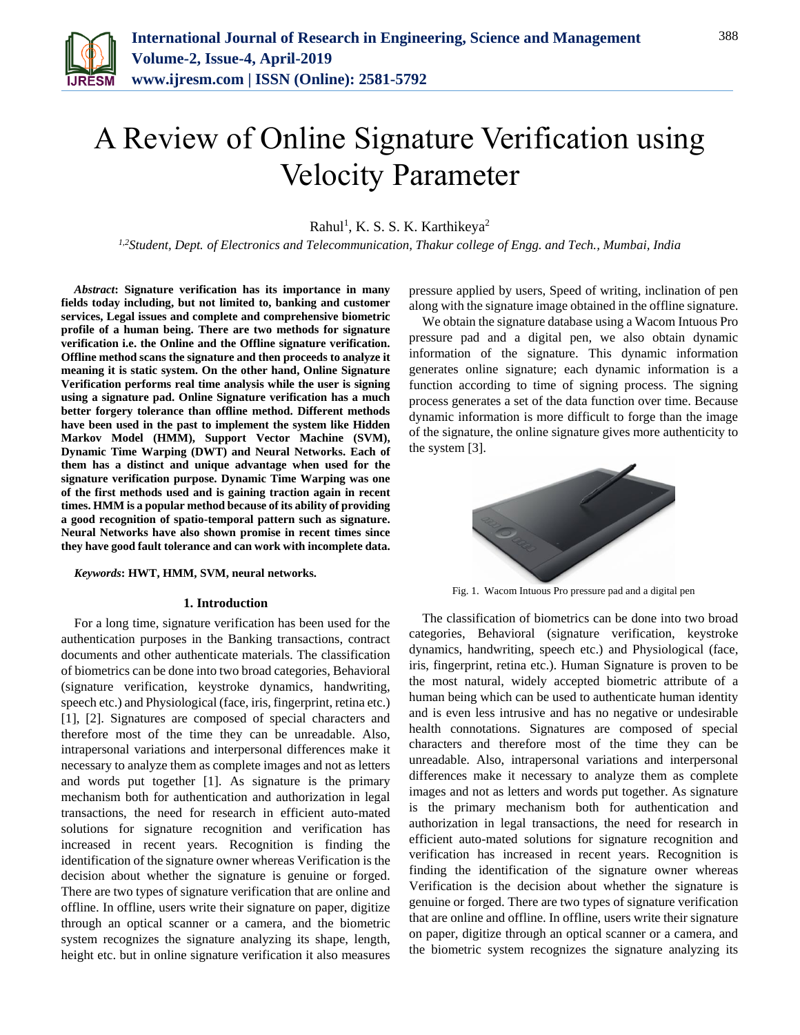

# A Review of Online Signature Verification using Velocity Parameter

 $Rahul<sup>1</sup>$ , K. S. S. K. Karthikeya<sup>2</sup>

*1,2Student, Dept. of Electronics and Telecommunication, Thakur college of Engg. and Tech., Mumbai, India*

*Abstract***: Signature verification has its importance in many fields today including, but not limited to, banking and customer services, Legal issues and complete and comprehensive biometric profile of a human being. There are two methods for signature verification i.e. the Online and the Offline signature verification. Offline method scans the signature and then proceeds to analyze it meaning it is static system. On the other hand, Online Signature Verification performs real time analysis while the user is signing using a signature pad. Online Signature verification has a much better forgery tolerance than offline method. Different methods have been used in the past to implement the system like Hidden Markov Model (HMM), Support Vector Machine (SVM), Dynamic Time Warping (DWT) and Neural Networks. Each of them has a distinct and unique advantage when used for the signature verification purpose. Dynamic Time Warping was one of the first methods used and is gaining traction again in recent times. HMM is a popular method because of its ability of providing a good recognition of spatio-temporal pattern such as signature. Neural Networks have also shown promise in recent times since they have good fault tolerance and can work with incomplete data.**

*Keywords***: HWT, HMM, SVM, neural networks.**

#### **1. Introduction**

For a long time, signature verification has been used for the authentication purposes in the Banking transactions, contract documents and other authenticate materials. The classification of biometrics can be done into two broad categories, Behavioral (signature verification, keystroke dynamics, handwriting, speech etc.) and Physiological (face, iris, fingerprint, retina etc.) [1], [2]. Signatures are composed of special characters and therefore most of the time they can be unreadable. Also, intrapersonal variations and interpersonal differences make it necessary to analyze them as complete images and not as letters and words put together [1]. As signature is the primary mechanism both for authentication and authorization in legal transactions, the need for research in efficient auto-mated solutions for signature recognition and verification has increased in recent years. Recognition is finding the identification of the signature owner whereas Verification is the decision about whether the signature is genuine or forged. There are two types of signature verification that are online and offline. In offline, users write their signature on paper, digitize through an optical scanner or a camera, and the biometric system recognizes the signature analyzing its shape, length, height etc. but in online signature verification it also measures

pressure applied by users, Speed of writing, inclination of pen along with the signature image obtained in the offline signature.

We obtain the signature database using a Wacom Intuous Pro pressure pad and a digital pen, we also obtain dynamic information of the signature. This dynamic information generates online signature; each dynamic information is a function according to time of signing process. The signing process generates a set of the data function over time. Because dynamic information is more difficult to forge than the image of the signature, the online signature gives more authenticity to the system [3].



Fig. 1. Wacom Intuous Pro pressure pad and a digital pen

The classification of biometrics can be done into two broad categories, Behavioral (signature verification, keystroke dynamics, handwriting, speech etc.) and Physiological (face, iris, fingerprint, retina etc.). Human Signature is proven to be the most natural, widely accepted biometric attribute of a human being which can be used to authenticate human identity and is even less intrusive and has no negative or undesirable health connotations. Signatures are composed of special characters and therefore most of the time they can be unreadable. Also, intrapersonal variations and interpersonal differences make it necessary to analyze them as complete images and not as letters and words put together. As signature is the primary mechanism both for authentication and authorization in legal transactions, the need for research in efficient auto-mated solutions for signature recognition and verification has increased in recent years. Recognition is finding the identification of the signature owner whereas Verification is the decision about whether the signature is genuine or forged. There are two types of signature verification that are online and offline. In offline, users write their signature on paper, digitize through an optical scanner or a camera, and the biometric system recognizes the signature analyzing its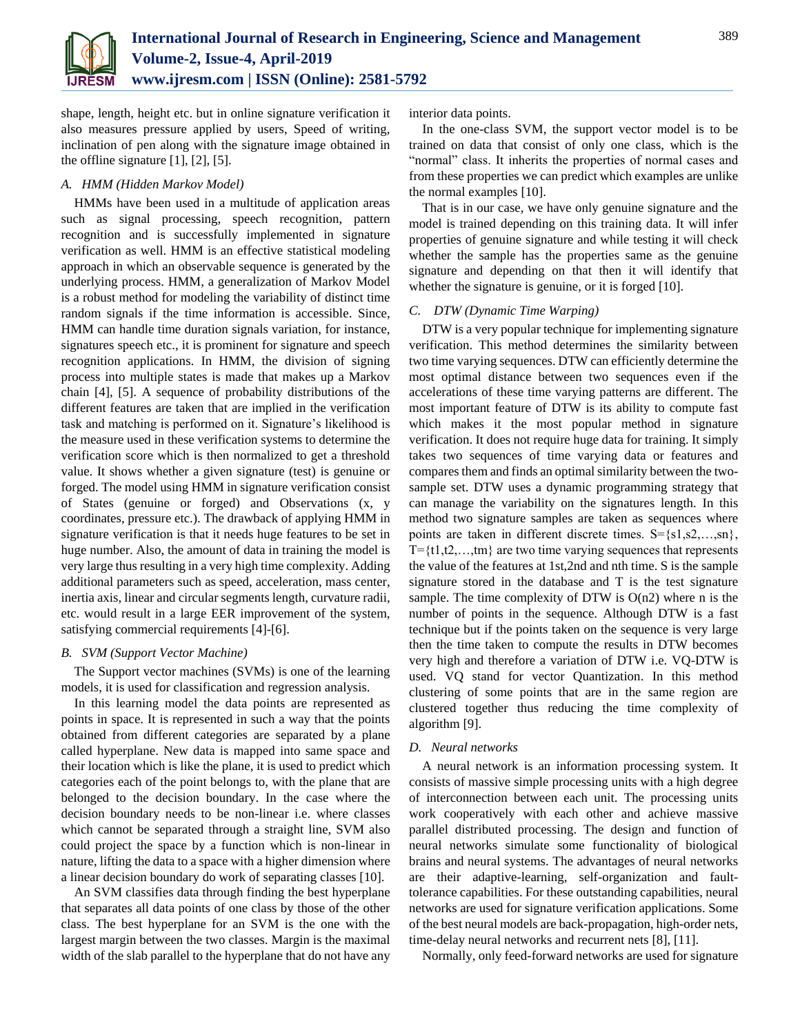

shape, length, height etc. but in online signature verification it also measures pressure applied by users, Speed of writing, inclination of pen along with the signature image obtained in the offline signature  $[1]$ ,  $[2]$ ,  $[5]$ .

# *A. HMM (Hidden Markov Model)*

HMMs have been used in a multitude of application areas such as signal processing, speech recognition, pattern recognition and is successfully implemented in signature verification as well. HMM is an effective statistical modeling approach in which an observable sequence is generated by the underlying process. HMM, a generalization of Markov Model is a robust method for modeling the variability of distinct time random signals if the time information is accessible. Since, HMM can handle time duration signals variation, for instance, signatures speech etc., it is prominent for signature and speech recognition applications. In HMM, the division of signing process into multiple states is made that makes up a Markov chain [4], [5]. A sequence of probability distributions of the different features are taken that are implied in the verification task and matching is performed on it. Signature's likelihood is the measure used in these verification systems to determine the verification score which is then normalized to get a threshold value. It shows whether a given signature (test) is genuine or forged. The model using HMM in signature verification consist of States (genuine or forged) and Observations (x, y coordinates, pressure etc.). The drawback of applying HMM in signature verification is that it needs huge features to be set in huge number. Also, the amount of data in training the model is very large thus resulting in a very high time complexity. Adding additional parameters such as speed, acceleration, mass center, inertia axis, linear and circular segments length, curvature radii, etc. would result in a large EER improvement of the system, satisfying commercial requirements [4]-[6].

#### *B. SVM (Support Vector Machine)*

The Support vector machines (SVMs) is one of the learning models, it is used for classification and regression analysis.

In this learning model the data points are represented as points in space. It is represented in such a way that the points obtained from different categories are separated by a plane called hyperplane. New data is mapped into same space and their location which is like the plane, it is used to predict which categories each of the point belongs to, with the plane that are belonged to the decision boundary. In the case where the decision boundary needs to be non-linear i.e. where classes which cannot be separated through a straight line, SVM also could project the space by a function which is non-linear in nature, lifting the data to a space with a higher dimension where a linear decision boundary do work of separating classes [10].

An SVM classifies data through finding the best hyperplane that separates all data points of one class by those of the other class. The best hyperplane for an SVM is the one with the largest margin between the two classes. Margin is the maximal width of the slab parallel to the hyperplane that do not have any interior data points.

In the one-class SVM, the support vector model is to be trained on data that consist of only one class, which is the "normal" class. It inherits the properties of normal cases and from these properties we can predict which examples are unlike the normal examples [10].

That is in our case, we have only genuine signature and the model is trained depending on this training data. It will infer properties of genuine signature and while testing it will check whether the sample has the properties same as the genuine signature and depending on that then it will identify that whether the signature is genuine, or it is forged [10].

# *C. DTW (Dynamic Time Warping)*

DTW is a very popular technique for implementing signature verification. This method determines the similarity between two time varying sequences. DTW can efficiently determine the most optimal distance between two sequences even if the accelerations of these time varying patterns are different. The most important feature of DTW is its ability to compute fast which makes it the most popular method in signature verification. It does not require huge data for training. It simply takes two sequences of time varying data or features and compares them and finds an optimal similarity between the twosample set. DTW uses a dynamic programming strategy that can manage the variability on the signatures length. In this method two signature samples are taken as sequences where points are taken in different discrete times.  $S = \{s1, s2, \ldots, sn\}$ ,  $T = \{t1, t2, \ldots, t^m\}$  are two time varying sequences that represents the value of the features at 1st,2nd and nth time. S is the sample signature stored in the database and T is the test signature sample. The time complexity of DTW is  $O(n2)$  where n is the number of points in the sequence. Although DTW is a fast technique but if the points taken on the sequence is very large then the time taken to compute the results in DTW becomes very high and therefore a variation of DTW i.e. VQ-DTW is used. VQ stand for vector Quantization. In this method clustering of some points that are in the same region are clustered together thus reducing the time complexity of algorithm [9].

#### *D. Neural networks*

A neural network is an information processing system. It consists of massive simple processing units with a high degree of interconnection between each unit. The processing units work cooperatively with each other and achieve massive parallel distributed processing. The design and function of neural networks simulate some functionality of biological brains and neural systems. The advantages of neural networks are their adaptive-learning, self-organization and faulttolerance capabilities. For these outstanding capabilities, neural networks are used for signature verification applications. Some of the best neural models are back-propagation, high-order nets, time-delay neural networks and recurrent nets [8], [11].

Normally, only feed-forward networks are used for signature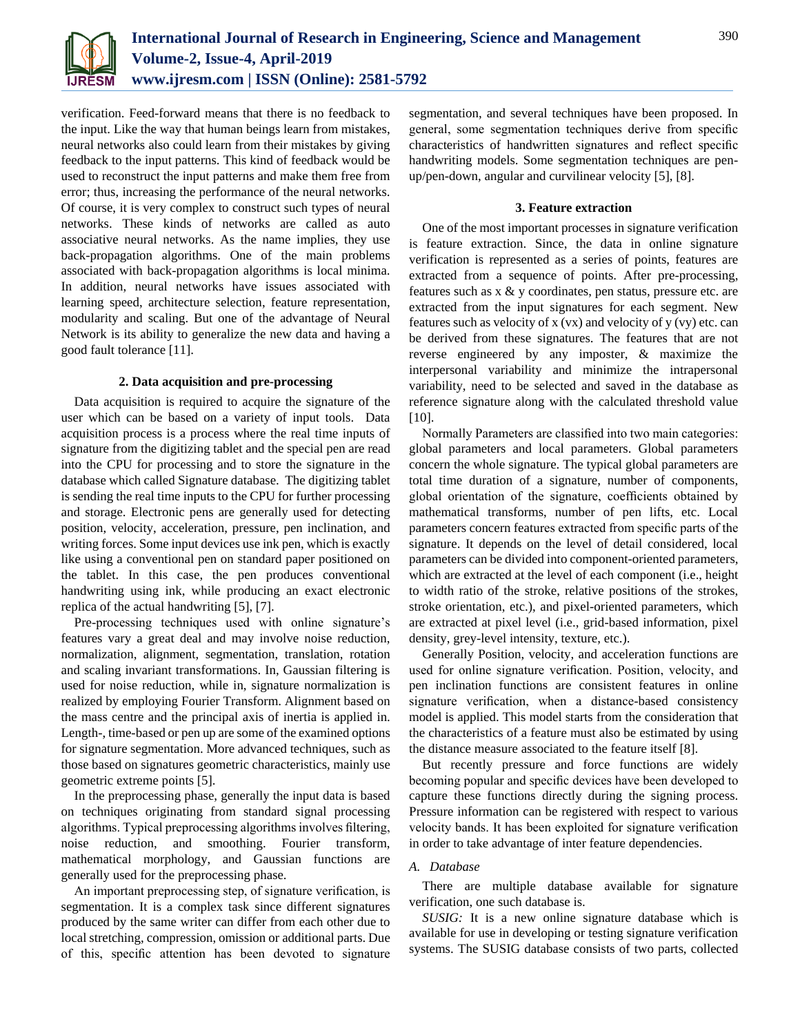

verification. Feed-forward means that there is no feedback to the input. Like the way that human beings learn from mistakes, neural networks also could learn from their mistakes by giving feedback to the input patterns. This kind of feedback would be used to reconstruct the input patterns and make them free from error; thus, increasing the performance of the neural networks. Of course, it is very complex to construct such types of neural networks. These kinds of networks are called as auto associative neural networks. As the name implies, they use back-propagation algorithms. One of the main problems associated with back-propagation algorithms is local minima. In addition, neural networks have issues associated with learning speed, architecture selection, feature representation, modularity and scaling. But one of the advantage of Neural Network is its ability to generalize the new data and having a good fault tolerance [11].

# **2. Data acquisition and pre-processing**

Data acquisition is required to acquire the signature of the user which can be based on a variety of input tools. Data acquisition process is a process where the real time inputs of signature from the digitizing tablet and the special pen are read into the CPU for processing and to store the signature in the database which called Signature database. The digitizing tablet is sending the real time inputs to the CPU for further processing and storage. Electronic pens are generally used for detecting position, velocity, acceleration, pressure, pen inclination, and writing forces. Some input devices use ink pen, which is exactly like using a conventional pen on standard paper positioned on the tablet. In this case, the pen produces conventional handwriting using ink, while producing an exact electronic replica of the actual handwriting [5], [7].

Pre-processing techniques used with online signature's features vary a great deal and may involve noise reduction, normalization, alignment, segmentation, translation, rotation and scaling invariant transformations. In, Gaussian filtering is used for noise reduction, while in, signature normalization is realized by employing Fourier Transform. Alignment based on the mass centre and the principal axis of inertia is applied in. Length-, time-based or pen up are some of the examined options for signature segmentation. More advanced techniques, such as those based on signatures geometric characteristics, mainly use geometric extreme points [5].

In the preprocessing phase, generally the input data is based on techniques originating from standard signal processing algorithms. Typical preprocessing algorithms involves filtering, noise reduction, and smoothing. Fourier transform, mathematical morphology, and Gaussian functions are generally used for the preprocessing phase.

An important preprocessing step, of signature verification, is segmentation. It is a complex task since different signatures produced by the same writer can differ from each other due to local stretching, compression, omission or additional parts. Due of this, specific attention has been devoted to signature

segmentation, and several techniques have been proposed. In general, some segmentation techniques derive from specific characteristics of handwritten signatures and reflect specific handwriting models. Some segmentation techniques are penup/pen-down, angular and curvilinear velocity [5], [8].

# **3. Feature extraction**

One of the most important processes in signature verification is feature extraction. Since, the data in online signature verification is represented as a series of points, features are extracted from a sequence of points. After pre-processing, features such as x & y coordinates, pen status, pressure etc. are extracted from the input signatures for each segment. New features such as velocity of  $x (vx)$  and velocity of  $y (vy)$  etc. can be derived from these signatures. The features that are not reverse engineered by any imposter, & maximize the interpersonal variability and minimize the intrapersonal variability, need to be selected and saved in the database as reference signature along with the calculated threshold value [10].

Normally Parameters are classified into two main categories: global parameters and local parameters. Global parameters concern the whole signature. The typical global parameters are total time duration of a signature, number of components, global orientation of the signature, coefficients obtained by mathematical transforms, number of pen lifts, etc. Local parameters concern features extracted from specific parts of the signature. It depends on the level of detail considered, local parameters can be divided into component-oriented parameters, which are extracted at the level of each component (i.e., height to width ratio of the stroke, relative positions of the strokes, stroke orientation, etc.), and pixel-oriented parameters, which are extracted at pixel level (i.e., grid-based information, pixel density, grey-level intensity, texture, etc.).

Generally Position, velocity, and acceleration functions are used for online signature verification. Position, velocity, and pen inclination functions are consistent features in online signature verification, when a distance-based consistency model is applied. This model starts from the consideration that the characteristics of a feature must also be estimated by using the distance measure associated to the feature itself [8].

But recently pressure and force functions are widely becoming popular and specific devices have been developed to capture these functions directly during the signing process. Pressure information can be registered with respect to various velocity bands. It has been exploited for signature verification in order to take advantage of inter feature dependencies.

# *A. Database*

There are multiple database available for signature verification, one such database is.

*SUSIG:* It is a new online signature database which is available for use in developing or testing signature verification systems. The SUSIG database consists of two parts, collected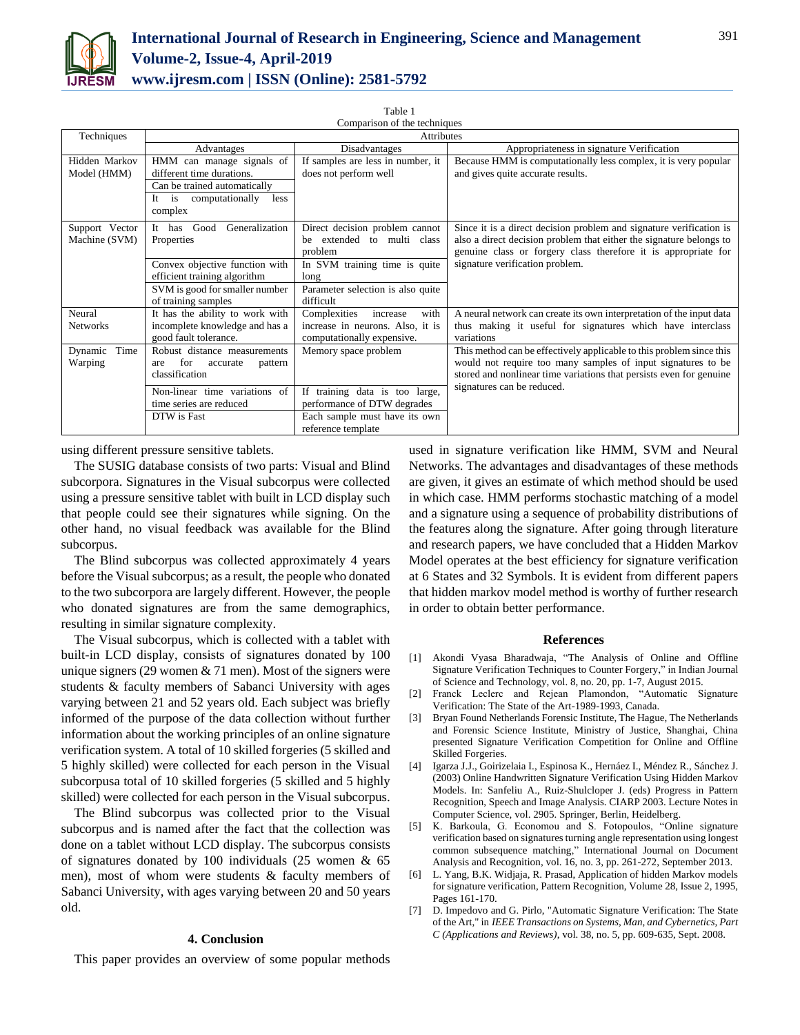

| Table 1                      |
|------------------------------|
| Comparison of the techniques |

| Techniques                      | <b>Attributes</b>                                                                          |                                                                                                    |                                                                                                                                                                                                              |
|---------------------------------|--------------------------------------------------------------------------------------------|----------------------------------------------------------------------------------------------------|--------------------------------------------------------------------------------------------------------------------------------------------------------------------------------------------------------------|
|                                 | Advantages                                                                                 | Disadvantages                                                                                      | Appropriateness in signature Verification                                                                                                                                                                    |
| Hidden Markov                   | HMM can manage signals of                                                                  | If samples are less in number, it                                                                  | Because HMM is computationally less complex, it is very popular                                                                                                                                              |
| Model (HMM)                     | different time durations.                                                                  | does not perform well                                                                              | and gives quite accurate results.                                                                                                                                                                            |
|                                 | Can be trained automatically                                                               |                                                                                                    |                                                                                                                                                                                                              |
|                                 | computationally<br>less<br>It<br>is<br>complex                                             |                                                                                                    |                                                                                                                                                                                                              |
| Support Vector<br>Machine (SVM) | Generalization<br>Good<br>It has<br>Properties                                             | Direct decision problem cannot<br>extended to multi class<br>he.<br>problem                        | Since it is a direct decision problem and signature verification is<br>also a direct decision problem that either the signature belongs to<br>genuine class or forgery class therefore it is appropriate for |
|                                 | Convex objective function with                                                             | In SVM training time is quite                                                                      | signature verification problem.                                                                                                                                                                              |
|                                 | efficient training algorithm                                                               | long                                                                                               |                                                                                                                                                                                                              |
|                                 | SVM is good for smaller number                                                             | Parameter selection is also quite                                                                  |                                                                                                                                                                                                              |
|                                 | of training samples                                                                        | difficult                                                                                          |                                                                                                                                                                                                              |
| Neural<br><b>Networks</b>       | It has the ability to work with<br>incomplete knowledge and has a<br>good fault tolerance. | Complexities<br>with<br>increase<br>increase in neurons. Also, it is<br>computationally expensive. | A neural network can create its own interpretation of the input data<br>thus making it useful for signatures which have interclass<br>variations                                                             |
| Time<br>Dynamic<br>Warping      | Robust distance measurements<br>for<br>accurate<br>pattern<br>are<br>classification        | Memory space problem                                                                               | This method can be effectively applicable to this problem since this<br>would not require too many samples of input signatures to be<br>stored and nonlinear time variations that persists even for genuine  |
|                                 | Non-linear time variations of<br>time series are reduced                                   | training data is too large,<br>If<br>performance of DTW degrades                                   | signatures can be reduced.                                                                                                                                                                                   |
|                                 | DTW is Fast                                                                                | Each sample must have its own                                                                      |                                                                                                                                                                                                              |
|                                 |                                                                                            | reference template                                                                                 |                                                                                                                                                                                                              |

using different pressure sensitive tablets.

The SUSIG database consists of two parts: Visual and Blind subcorpora. Signatures in the Visual subcorpus were collected using a pressure sensitive tablet with built in LCD display such that people could see their signatures while signing. On the other hand, no visual feedback was available for the Blind subcorpus.

The Blind subcorpus was collected approximately 4 years before the Visual subcorpus; as a result, the people who donated to the two subcorpora are largely different. However, the people who donated signatures are from the same demographics, resulting in similar signature complexity.

The Visual subcorpus, which is collected with a tablet with built-in LCD display, consists of signatures donated by 100 unique signers (29 women  $& 71$  men). Most of the signers were students & faculty members of Sabanci University with ages varying between 21 and 52 years old. Each subject was briefly informed of the purpose of the data collection without further information about the working principles of an online signature verification system. A total of 10 skilled forgeries (5 skilled and 5 highly skilled) were collected for each person in the Visual subcorpusa total of 10 skilled forgeries (5 skilled and 5 highly skilled) were collected for each person in the Visual subcorpus.

The Blind subcorpus was collected prior to the Visual subcorpus and is named after the fact that the collection was done on a tablet without LCD display. The subcorpus consists of signatures donated by 100 individuals (25 women & 65 men), most of whom were students & faculty members of Sabanci University, with ages varying between 20 and 50 years old.

#### **4. Conclusion**

This paper provides an overview of some popular methods

used in signature verification like HMM, SVM and Neural Networks. The advantages and disadvantages of these methods are given, it gives an estimate of which method should be used in which case. HMM performs stochastic matching of a model and a signature using a sequence of probability distributions of the features along the signature. After going through literature and research papers, we have concluded that a Hidden Markov Model operates at the best efficiency for signature verification at 6 States and 32 Symbols. It is evident from different papers that hidden markov model method is worthy of further research in order to obtain better performance.

#### **References**

- [1] Akondi Vyasa Bharadwaja, "The Analysis of Online and Offline Signature Verification Techniques to Counter Forgery," in Indian Journal of Science and Technology, vol. 8, no. 20, pp. 1-7, August 2015.
- [2] Franck Leclerc and Rejean Plamondon, "Automatic Signature Verification: The State of the Art-1989-1993, Canada.
- [3] Bryan Found Netherlands Forensic Institute, The Hague, The Netherlands and Forensic Science Institute, Ministry of Justice, Shanghai, China presented Signature Verification Competition for Online and Offline Skilled Forgeries.
- [4] Igarza J.J., Goirizelaia I., Espinosa K., Hernáez I., Méndez R., Sánchez J. (2003) Online Handwritten Signature Verification Using Hidden Markov Models. In: Sanfeliu A., Ruiz-Shulcloper J. (eds) Progress in Pattern Recognition, Speech and Image Analysis. CIARP 2003. Lecture Notes in Computer Science, vol. 2905. Springer, Berlin, Heidelberg.
- [5] K. Barkoula, G. Economou and S. Fotopoulos, "Online signature verification based on signatures turning angle representation using longest common subsequence matching," International Journal on Document Analysis and Recognition, vol. 16, no. 3, pp. 261-272, September 2013.
- [6] L. Yang, B.K. Widjaja, R. Prasad, Application of hidden Markov models for signature verification, Pattern Recognition, Volume 28, Issue 2, 1995, Pages 161-170.
- [7] D. Impedovo and G. Pirlo, "Automatic Signature Verification: The State of the Art," in *IEEE Transactions on Systems, Man, and Cybernetics, Part C (Applications and Reviews)*, vol. 38, no. 5, pp. 609-635, Sept. 2008.